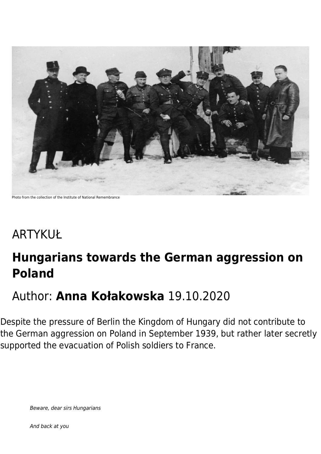

Photo from the collection of the Institute of National Remembrance

# ARTYKUŁ

## **Hungarians towards the German aggression on Poland**

### Author: **Anna Kołakowska** 19.10.2020

Despite the pressure of Berlin the Kingdom of Hungary did not contribute to the German aggression on Poland in September 1939, but rather later secretly supported the evacuation of Polish soldiers to France.

Beware, dear sirs Hungarians

And back at you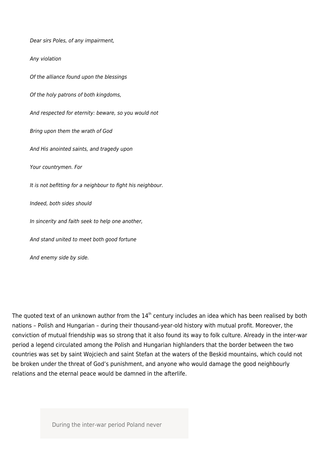Dear sirs Poles, of any impairment, Any violation Of the alliance found upon the blessings Of the holy patrons of both kingdoms, And respected for eternity: beware, so you would not Bring upon them the wrath of God And His anointed saints, and tragedy upon Your countrymen. For It is not befitting for a neighbour to fight his neighbour. Indeed, both sides should In sincerity and faith seek to help one another, And stand united to meet both good fortune And enemy side by side.

The quoted text of an unknown author from the  $14<sup>th</sup>$  century includes an idea which has been realised by both nations – Polish and Hungarian – during their thousand-year-old history with mutual profit. Moreover, the conviction of mutual friendship was so strong that it also found its way to folk culture. Already in the inter-war period a legend circulated among the Polish and Hungarian highlanders that the border between the two countries was set by saint Wojciech and saint Stefan at the waters of the Beskid mountains, which could not be broken under the threat of God's punishment, and anyone who would damage the good neighbourly relations and the eternal peace would be damned in the afterlife.

During the inter-war period Poland never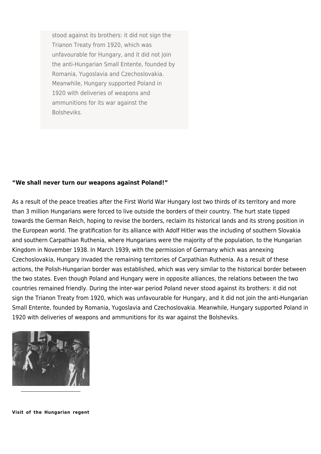stood against its brothers: it did not sign the Trianon Treaty from 1920, which was unfavourable for Hungary, and it did not join the anti-Hungarian Small Entente, founded by Romania, Yugoslavia and Czechoslovakia. Meanwhile, Hungary supported Poland in 1920 with deliveries of weapons and ammunitions for its war against the Bolsheviks.

#### **"We shall never turn our weapons against Poland!"**

As a result of the peace treaties after the First World War Hungary lost two thirds of its territory and more than 3 million Hungarians were forced to live outside the borders of their country. The hurt state tipped towards the German Reich, hoping to revise the borders, reclaim its historical lands and its strong position in the European world. The gratification for its alliance with Adolf Hitler was the including of southern Slovakia and southern Carpathian Ruthenia, where Hungarians were the majority of the population, to the Hungarian Kingdom in November 1938. In March 1939, with the permission of Germany which was annexing Czechoslovakia, Hungary invaded the remaining territories of Carpathian Ruthenia. As a result of these actions, the Polish-Hungarian border was established, which was very similar to the historical border between the two states. Even though Poland and Hungary were in opposite alliances, the relations between the two countries remained friendly. During the inter-war period Poland never stood against its brothers: it did not sign the Trianon Treaty from 1920, which was unfavourable for Hungary, and it did not join the anti-Hungarian Small Entente, founded by Romania, Yugoslavia and Czechoslovakia. Meanwhile, Hungary supported Poland in 1920 with deliveries of weapons and ammunitions for its war against the Bolsheviks.



**Visit of the Hungarian regent**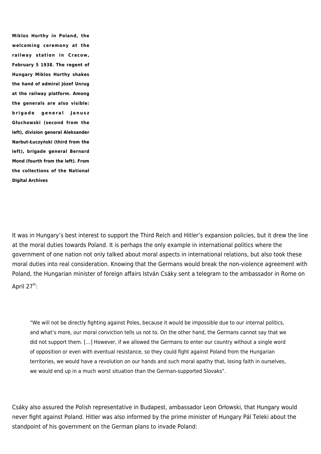**Miklos Horthy in Poland, the welcoming ceremony at the railway station in Cracow, February 5 1938. The regent of Hungary Miklos Horthy shakes the hand of admiral Józef Unrug at the railway platform. Among the generals are also visible: brigade general Janusz Głuchowski (second from the left), division general Aleksander Narbut-Łuczyński (third from the left), brigade general Bernard Mond (fourth from the left). From the collections of the National Digital Archives**

It was in Hungary's best interest to support the Third Reich and Hitler's expansion policies, but it drew the line at the moral duties towards Poland. It is perhaps the only example in international politics where the government of one nation not only talked about moral aspects in international relations, but also took these moral duties into real consideration. Knowing that the Germans would break the non-violence agreement with Poland, the Hungarian minister of foreign affairs István Csáky sent a telegram to the ambassador in Rome on April  $27^{th}$ :

"We will not be directly fighting against Poles, because it would be impossible due to our internal politics, and what's more, our moral conviction tells us not to. On the other hand, the Germans cannot say that we did not support them. […] However, if we allowed the Germans to enter our country without a single word of opposition or even with eventual resistance, so they could fight against Poland from the Hungarian territories, we would have a revolution on our hands and such moral apathy that, losing faith in ourselves, we would end up in a much worst situation than the German-supported Slovaks".

Csáky also assured the Polish representative in Budapest, ambassador Leon Orłowski, that Hungary would never fight against Poland. Hitler was also informed by the prime minister of Hungary Pál Teleki about the standpoint of his government on the German plans to invade Poland: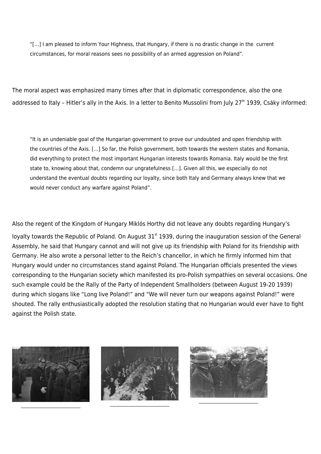"[…] I am pleased to inform Your Highness, that Hungary, if there is no drastic change in the current circumstances, for moral reasons sees no possibility of an armed aggression on Poland".

The moral aspect was emphasized many times after that in diplomatic correspondence, also the one addressed to Italy - Hitler's ally in the Axis. In a letter to Benito Mussolini from July 27<sup>th</sup> 1939, Csáky informed:

"It is an undeniable goal of the Hungarian government to prove our undoubted and open friendship with the countries of the Axis. […] So far, the Polish government, both towards the western states and Romania, did everything to protect the most important Hungarian interests towards Romania. Italy would be the first state to, knowing about that, condemn our ungratefulness […]. Given all this, we especially do not understand the eventual doubts regarding our loyalty, since both Italy and Germany always knew that we would never conduct any warfare against Poland".

Also the regent of the Kingdom of Hungary Miklós Horthy did not leave any doubts regarding Hungary's

loyalty towards the Republic of Poland. On August 31<sup>st</sup> 1939, during the inauguration session of the General Assembly, he said that Hungary cannot and will not give up its friendship with Poland for its friendship with Germany. He also wrote a personal letter to the Reich's chancellor, in which he firmly informed him that Hungary would under no circumstances stand against Poland. The Hungarian officials presented the views corresponding to the Hungarian society which manifested its pro-Polish sympathies on several occasions. One such example could be the Rally of the Party of Independent Smallholders (between August 19-20 1939) during which slogans like "Long live Poland!" and "We will never turn our weapons against Poland!" were shouted. The rally enthusiastically adopted the resolution stating that no Hungarian would ever have to fight against the Polish state.

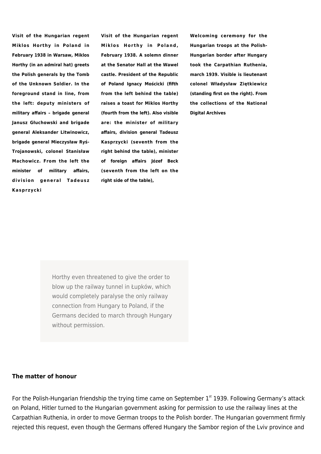**Visit of the Hungarian regent Miklos Horthy in Poland in February 1938 in Warsaw, Miklos Horthy (in an admiral hat) greets the Polish generals by the Tomb of the Unknown Soldier. In the foreground stand in line, from the left: deputy ministers of military affairs – brigade general Janusz Głuchowski and brigade general Aleksander Litwinowicz, brigade general Mieczysław Ryś-Trojanowski, colonel Stanisław Machowicz. From the left the minister of military affairs, division general Tadeusz Kasprzycki**

**Visit of the Hungarian regent Miklos Horthy in Poland, February 1938. A solemn dinner at the Senator Hall at the Wawel castle. President of the Republic of Poland Ignacy Mościcki (fifth from the left behind the table) raises a toast for Miklos Horthy (fourth from the left). Also visible are: the minister of military affairs, division general Tadeusz Kasprzycki (seventh from the right behind the table), minister of foreign affairs Józef Beck (seventh from the left on the right side of the table),**

**Welcoming ceremony for the Hungarian troops at the Polish-Hungarian border after Hungary took the Carpathian Ruthenia, march 1939. Visible is lieutenant colonel Władysław Ziętkiewicz (standing first on the right). From the collections of the National Digital Archives**

Horthy even threatened to give the order to blow up the railway tunnel in Łupków, which would completely paralyse the only railway connection from Hungary to Poland, if the Germans decided to march through Hungary without permission.

#### **The matter of honour**

For the Polish-Hungarian friendship the trying time came on September  $1<sup>st</sup>$  1939. Following Germany's attack on Poland, Hitler turned to the Hungarian government asking for permission to use the railway lines at the Carpathian Ruthenia, in order to move German troops to the Polish border. The Hungarian government firmly rejected this request, even though the Germans offered Hungary the Sambor region of the Lviv province and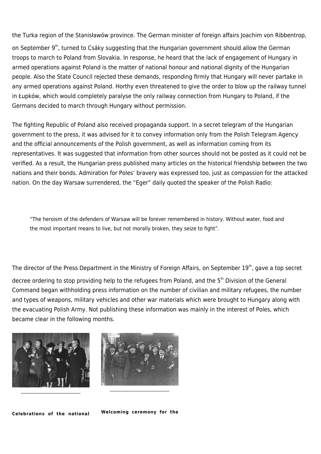the Turka region of the Stanisławów province. The German minister of foreign affairs Joachim von Ribbentrop,

on September 9<sup>th</sup>, turned to Csáky suggesting that the Hungarian government should allow the German troops to march to Poland from Slovakia. In response, he heard that the lack of engagement of Hungary in armed operations against Poland is the matter of national honour and national dignity of the Hungarian people. Also the State Council rejected these demands, responding firmly that Hungary will never partake in any armed operations against Poland. Horthy even threatened to give the order to blow up the railway tunnel in Łupków, which would completely paralyse the only railway connection from Hungary to Poland, if the Germans decided to march through Hungary without permission.

The fighting Republic of Poland also received propaganda support. In a secret telegram of the Hungarian government to the press, it was advised for it to convey information only from the Polish Telegram Agency and the official announcements of the Polish government, as well as information coming from its representatives. It was suggested that information from other sources should not be posted as it could not be verified. As a result, the Hungarian press published many articles on the historical friendship between the two nations and their bonds. Admiration for Poles' bravery was expressed too, just as compassion for the attacked nation. On the day Warsaw surrendered, the "Eger" daily quoted the speaker of the Polish Radio:

"The heroism of the defenders of Warsaw will be forever remembered in history. Without water, food and the most important means to live, but not morally broken, they seize to fight".

The director of the Press Department in the Ministry of Foreign Affairs, on September 19<sup>th</sup>, gave a top secret decree ordering to stop providing help to the refugees from Poland, and the 5<sup>th</sup> Division of the General Command began withholding press information on the number of civilian and military refugees, the number and types of weapons, military vehicles and other war materials which were brought to Hungary along with the evacuating Polish Army. Not publishing these information was mainly in the interest of Poles, which became clear in the following months.





**Celebrations of the national**

**Welcoming ceremony for the**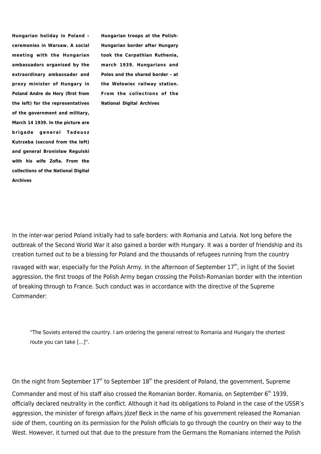**Hungarian holiday in Poland – ceremonies in Warsaw. A social meeting with the Hungarian ambassadors organised by the extraordinary ambassador and proxy minister of Hungary in Poland Andre de Hory (first from the left) for the representatives of the government and military, March 14 1939. In the picture are brigade general Tadeusz Kutrzeba (second from the left) and general Bronisław Regulski with his wife Zofia. From the collections of the National Digital Archives**

**Hungarian troops at the Polish-Hungarian border after Hungary took the Carpathian Ruthenia, march 1939. Hungarians and Poles and the shared border – at the Wołowiec railway station. From the collections of the National Digital Archives**

In the inter-war period Poland initially had to safe borders: with Romania and Latvia. Not long before the outbreak of the Second World War it also gained a border with Hungary. It was a border of friendship and its creation turned out to be a blessing for Poland and the thousands of refugees running from the country

ravaged with war, especially for the Polish Army. In the afternoon of September 17<sup>th</sup>, in light of the Soviet aggression, the first troops of the Polish Army began crossing the Polish-Romanian border with the intention of breaking through to France. Such conduct was in accordance with the directive of the Supreme Commander:

"The Soviets entered the country. I am ordering the general retreat to Romania and Hungary the shortest route you can take […]".

On the night from September  $17<sup>th</sup>$  to September  $18<sup>th</sup>$  the president of Poland, the government, Supreme

Commander and most of his staff also crossed the Romanian border. Romania, on September 6<sup>th</sup> 1939, officially declared neutrality in the conflict. Although it had its obligations to Poland in the case of the USSR's aggression, the minister of foreign affairs Józef Beck in the name of his government released the Romanian side of them, counting on its permission for the Polish officials to go through the country on their way to the West. However, it turned out that due to the pressure from the Germans the Romanians interned the Polish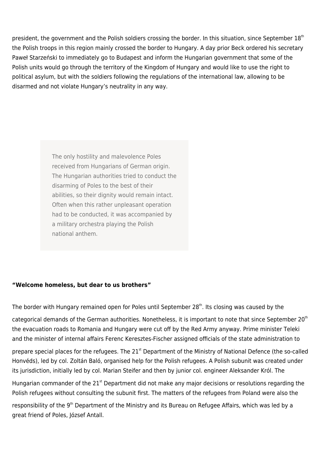president, the government and the Polish soldiers crossing the border. In this situation, since September 18<sup>th</sup> the Polish troops in this region mainly crossed the border to Hungary. A day prior Beck ordered his secretary Paweł Starzeński to immediately go to Budapest and inform the Hungarian government that some of the Polish units would go through the territory of the Kingdom of Hungary and would like to use the right to political asylum, but with the soldiers following the regulations of the international law, allowing to be disarmed and not violate Hungary's neutrality in any way.

> The only hostility and malevolence Poles received from Hungarians of German origin. The Hungarian authorities tried to conduct the disarming of Poles to the best of their abilities, so their dignity would remain intact. Often when this rather unpleasant operation had to be conducted, it was accompanied by a military orchestra playing the Polish national anthem.

### **"Welcome homeless, but dear to us brothers"**

The border with Hungary remained open for Poles until September  $28<sup>th</sup>$ . Its closing was caused by the

categorical demands of the German authorities. Nonetheless, it is important to note that since September 20<sup>th</sup> the evacuation roads to Romania and Hungary were cut off by the Red Army anyway. Prime minister Teleki and the minister of internal affairs Ferenc Keresztes-Fischer assigned officials of the state administration to

prepare special places for the refugees. The 21<sup>st</sup> Department of the Ministry of National Defence (the so-called Honvéds), led by col. Zoltán Baló, organised help for the Polish refugees. A Polish subunit was created under its jurisdiction, initially led by col. Marian Steifer and then by junior col. engineer Aleksander Król. The

Hungarian commander of the  $21<sup>st</sup>$  Department did not make any major decisions or resolutions regarding the Polish refugees without consulting the subunit first. The matters of the refugees from Poland were also the

responsibility of the 9<sup>th</sup> Department of the Ministry and its Bureau on Refugee Affairs, which was led by a great friend of Poles, József Antall.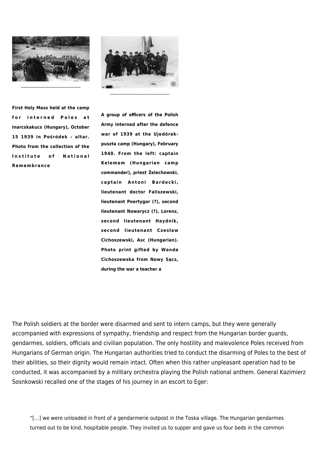



**First Holy Mass held at the camp for interned Poles at Inarcskakucs (Hungary), October 15 1939 in Pośródek – altar. Photo from the collection of the Institute of National Remembrance**

**A group of officers of the Polish Army interned after the defence war of 1939 at the Ujedörekpuszta camp (Hungary), February 1940. From the left: captain Kelemam (Hungarian camp commander), priest Żelechowski, captain Antoni Bardecki, lieutenant doctor Faliszewski, lieutenant Poertygor (?), second lieutenant Nowarycz (?), Lorenz, second lieutenant Haydnik, second lieutenant Czesław Cichoszewski, Asc (Hungarian). Photo print gifted by Wanda Cichoszewska from Nowy Sącz, during the war a teacher a**

The Polish soldiers at the border were disarmed and sent to intern camps, but they were generally accompanied with expressions of sympathy, friendship and respect from the Hungarian border guards, gendarmes, soldiers, officials and civilian population. The only hostility and malevolence Poles received from Hungarians of German origin. The Hungarian authorities tried to conduct the disarming of Poles to the best of their abilities, so their dignity would remain intact. Often when this rather unpleasant operation had to be conducted, it was accompanied by a military orchestra playing the Polish national anthem. General Kazimierz Sosnkowski recalled one of the stages of his journey in an escort to Eger:

"[…] we were unloaded in front of a gendarmerie outpost in the Toska village. The Hungarian gendarmes turned out to be kind, hospitable people. They invited us to supper and gave us four beds in the common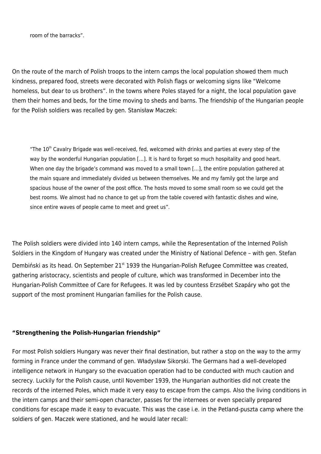room of the barracks".

On the route of the march of Polish troops to the intern camps the local population showed them much kindness, prepared food, streets were decorated with Polish flags or welcoming signs like "Welcome homeless, but dear to us brothers". In the towns where Poles stayed for a night, the local population gave them their homes and beds, for the time moving to sheds and barns. The friendship of the Hungarian people for the Polish soldiers was recalled by gen. Stanisław Maczek:

"The 10<sup>th</sup> Cavalry Brigade was well-received, fed, welcomed with drinks and parties at every step of the way by the wonderful Hungarian population [...]. It is hard to forget so much hospitality and good heart. When one day the brigade's command was moved to a small town [...], the entire population gathered at the main square and immediately divided us between themselves. Me and my family got the large and spacious house of the owner of the post office. The hosts moved to some small room so we could get the best rooms. We almost had no chance to get up from the table covered with fantastic dishes and wine, since entire waves of people came to meet and greet us".

The Polish soldiers were divided into 140 intern camps, while the Representation of the Interned Polish Soldiers in the Kingdom of Hungary was created under the Ministry of National Defence – with gen. Stefan Dembiński as its head. On September 21<sup>st</sup> 1939 the Hungarian-Polish Refugee Committee was created, gathering aristocracy, scientists and people of culture, which was transformed in December into the Hungarian-Polish Committee of Care for Refugees. It was led by countess Erzsébet Szapáry who got the support of the most prominent Hungarian families for the Polish cause.

#### **"Strengthening the Polish-Hungarian friendship"**

For most Polish soldiers Hungary was never their final destination, but rather a stop on the way to the army forming in France under the command of gen. Władysław Sikorski. The Germans had a well-developed intelligence network in Hungary so the evacuation operation had to be conducted with much caution and secrecy. Luckily for the Polish cause, until November 1939, the Hungarian authorities did not create the records of the interned Poles, which made it very easy to escape from the camps. Also the living conditions in the intern camps and their semi-open character, passes for the internees or even specially prepared conditions for escape made it easy to evacuate. This was the case i.e. in the Petland-puszta camp where the soldiers of gen. Maczek were stationed, and he would later recall: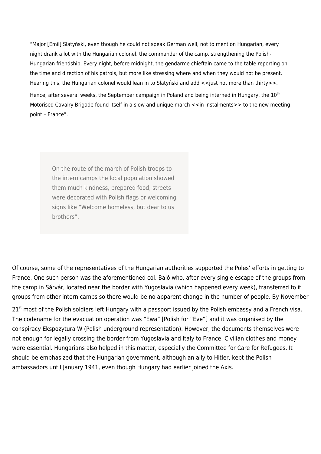"Major [Emil] Słatyński, even though he could not speak German well, not to mention Hungarian, every night drank a lot with the Hungarian colonel, the commander of the camp, strengthening the Polish-Hungarian friendship. Every night, before midnight, the gendarme chieftain came to the table reporting on the time and direction of his patrols, but more like stressing where and when they would not be present. Hearing this, the Hungarian colonel would lean in to Słatyński and add << just not more than thirty>>.

Hence, after several weeks, the September campaign in Poland and being interned in Hungary, the  $10<sup>th</sup>$ Motorised Cavalry Brigade found itself in a slow and unique march <<in instalments>> to the new meeting point – France".

On the route of the march of Polish troops to the intern camps the local population showed them much kindness, prepared food, streets were decorated with Polish flags or welcoming signs like "Welcome homeless, but dear to us brothers".

Of course, some of the representatives of the Hungarian authorities supported the Poles' efforts in getting to France. One such person was the aforementioned col. Baló who, after every single escape of the groups from the camp in Sárvár, located near the border with Yugoslavia (which happened every week), transferred to it groups from other intern camps so there would be no apparent change in the number of people. By November

 $21<sup>st</sup>$  most of the Polish soldiers left Hungary with a passport issued by the Polish embassy and a French visa. The codename for the evacuation operation was "Ewa" [Polish for "Eve"] and it was organised by the conspiracy Ekspozytura W (Polish underground representation). However, the documents themselves were not enough for legally crossing the border from Yugoslavia and Italy to France. Civilian clothes and money were essential. Hungarians also helped in this matter, especially the Committee for Care for Refugees. It should be emphasized that the Hungarian government, although an ally to Hitler, kept the Polish ambassadors until January 1941, even though Hungary had earlier joined the Axis.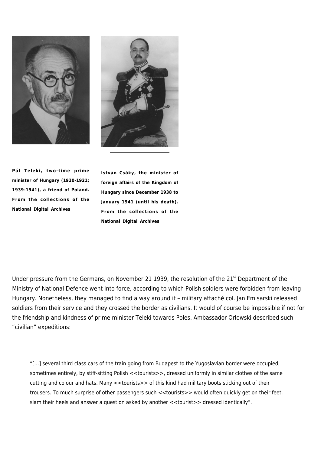



**Pál Teleki, two-time prime minister of Hungary (1920-1921; 1939-1941), a friend of Poland. From the collections of the National Digital Archives**

**István Csáky, the minister of foreign affairs of the Kingdom of Hungary since December 1938 to January 1941 (until his death). From the collections of the National Digital Archives**

Under pressure from the Germans, on November 21 1939, the resolution of the 21<sup>st</sup> Department of the Ministry of National Defence went into force, according to which Polish soldiers were forbidden from leaving Hungary. Nonetheless, they managed to find a way around it – military attaché col. Jan Emisarski released soldiers from their service and they crossed the border as civilians. It would of course be impossible if not for the friendship and kindness of prime minister Teleki towards Poles. Ambassador Orłowski described such "civilian" expeditions:

"[…] several third class cars of the train going from Budapest to the Yugoslavian border were occupied, sometimes entirely, by stiff-sitting Polish <<tourists>>, dressed uniformly in similar clothes of the same cutting and colour and hats. Many <<tourists>> of this kind had military boots sticking out of their trousers. To much surprise of other passengers such <<tourists>> would often quickly get on their feet, slam their heels and answer a question asked by another <<tourist>> dressed identically".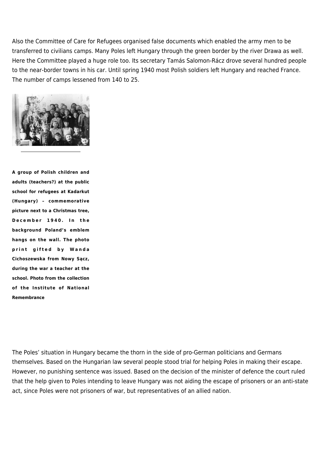Also the Committee of Care for Refugees organised false documents which enabled the army men to be transferred to civilians camps. Many Poles left Hungary through the green border by the river Drawa as well. Here the Committee played a huge role too. Its secretary Tamás Salomon-Rácz drove several hundred people to the near-border towns in his car. Until spring 1940 most Polish soldiers left Hungary and reached France. The number of camps lessened from 140 to 25.



**A group of Polish children and adults (teachers?) at the public school for refugees at Kadarkut (Hungary) – commemorative picture next to a Christmas tree, December 1940. In the background Poland's emblem hangs on the wall. The photo print gifted by Wanda Cichoszewska from Nowy Sącz, during the war a teacher at the school. Photo from the collection of the Institute of National Remembrance**

The Poles' situation in Hungary became the thorn in the side of pro-German politicians and Germans themselves. Based on the Hungarian law several people stood trial for helping Poles in making their escape. However, no punishing sentence was issued. Based on the decision of the minister of defence the court ruled that the help given to Poles intending to leave Hungary was not aiding the escape of prisoners or an anti-state act, since Poles were not prisoners of war, but representatives of an allied nation.